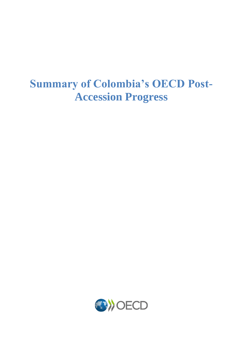# **Summary of Colombia's OECD Post-Accession Progress**

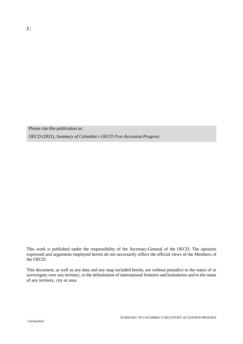Please cite this publication as:

OECD (2021), *Summary of Colombia's OECD Post-Accession Progress*

This work is published under the responsibility of the Secretary-General of the OECD. The opinions expressed and arguments employed herein do not necessarily reflect the official views of the Members of the OECD.

This document, as well as any data and any map included herein, are without prejudice to the status of or sovereignty over any territory, to the delimitation of international frontiers and boundaries and to the name of any territory, city or area.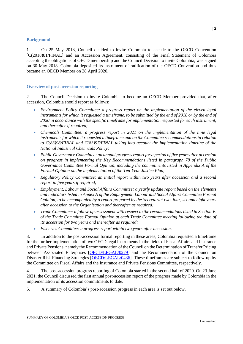#### **Background**

1. On 25 May 2018, Council decided to invite Colombia to accede to the OECD Convention [\[C\(2018\)81/FINAL\]](https://one.oecd.org/document/C(2018)81/FINAL/en/pdf) and an Accession Agreement, consisting of the Final Statement of Colombia accepting the obligations of OECD membership and the Council Decision to invite Colombia, was signed on 30 May 2018. Colombia deposited its instrument of ratification of the OECD Convention and thus became an OECD Member on 28 April 2020.

#### **Overview of post-accession reporting**

2. The Council Decision to invite Colombia to become an OECD Member provided that, after accession, Colombia should report as follows:

- *Environment Policy Committee: a progress report on the implementation of the eleven legal*  instruments for which it requested a timeframe, to be submitted by the end of 2018 or by the end of *2020 in accordance with the specific timeframe for implementation requested for each instrument, and thereafter if required;*
- *Chemicals Committee: a progress report in 2021 on the implementation of the nine legal instruments for which it requested a timeframe and on the Committee recommendations in relation to C(83)98/FINAL and C(83)97/FINAL taking into account the implementation timeline of the National Industrial Chemicals Policy;*
- *Public Governance Committee: an annual progress report for a period of five years after accession on progress in implementing the Key Recommendations listed in paragraph 78 of the Public Governance Committee Formal Opinion, including the commitments listed in Appendix A of the Formal Opinion on the implementation of the Ten-Year Justice Plan;*
- *Regulatory Policy Committee: an initial report within two years after accession and a second report in five years if required;*
- *Employment, Labour and Social Affairs Committee: a yearly update report based on the elements and indicators listed in Annex A of the Employment, Labour and Social Affairs Committee Formal Opinion, to be accompanied by a report prepared by the Secretariat two, four, six and eight years after accession to the Organisation and thereafter as required;*
- *Trade Committee: a follow-up assessment with respect to the recommendations listed in Section V. of the Trade Committee Formal Opinion at each Trade Committee meeting following the date of its accession for two years and thereafter as required;*
- *Fisheries Committee: a progress report within two years after accession.*

3. In addition to the post-accession formal reporting in these areas, Colombia requested a timeframe for the further implementation of two OECD legal instruments in the fields of Fiscal Affairs and Insurance and Private Pensions, namely the Recommendation of the Council on the Determination of Transfer Pricing between Associated Enterprises [\[OECD/LEGAL/0279\]](https://legalinstruments.oecd.org/en/instruments/OECD-LEGAL-0279) and the Recommendation of the Council on Disaster Risk Financing Strategies [\[OECD/LEGAL/0436\]](https://legalinstruments.oecd.org/en/instruments/OECD-LEGAL-0436). These timeframes are subject to follow-up by the Committee on Fiscal Affairs and the Insurance and Private Pensions Committee, respectively.

4. The post-accession progress reporting of Colombia started in the second half of 2020. On 23 June 2021, the Council discussed the first annual post-accession report of the progress made by Colombia in the implementation of its accession commitments to date.

5. A summary of Colombia's post-accession progress in each area is set out below.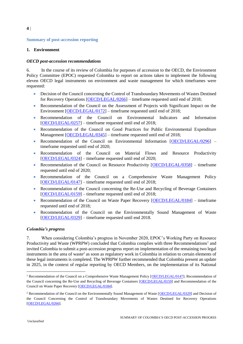# **4**

**Summary of post-accession reporting**

## **1. Environment**

## *OECD post-accession recommendations*

6. In the course of its review of Colombia for purposes of accession to the OECD, the Environment Policy Committee (EPOC) requested Colombia to report on actions taken to implement the following eleven OECD legal instruments on environment and waste management for which timeframes were requested:

- Decision of the Council concerning the Control of Transboundary Movements of Wastes Destined for Recovery Operations [\[OECD/LEGAL/0266\]](https://legalinstruments.oecd.org/en/instruments/OECD-LEGAL-0266) – timeframe requested until end of 2018;
- Recommendation of the Council on the Assessment of Projects with Significant Impact on the Environment [\[OECD/LEGAL/0172\]](https://legalinstruments.oecd.org/en/instruments/OECD-LEGAL-0172) – timeframe requested until end of 2018;
- Recommendation of the Council on Environmental Indicators and Information [\[OECD/LEGAL/0257\]](https://legalinstruments.oecd.org/en/instruments/OECD-LEGAL-0257) – timeframe requested until end of 2018;
- Recommendation of the Council on Good Practices for Public Environmental Expenditure Management [\[OECD/LEGAL/0345\]](https://legalinstruments.oecd.org/en/instruments/OECD-LEGAL-0345) – timeframe requested until end of 2018;
- Recommendation of the Council on Environmental Information [\[OECD/LEGAL/0296\]](https://legalinstruments.oecd.org/en/instruments/OECD-LEGAL-0296) timeframe requested until end of 2020;
- Recommendation of the Council on Material Flows and Resource Productivity [\[OECD/LEGAL/0324\]](https://legalinstruments.oecd.org/en/instruments/OECD-LEGAL-0324) – timeframe requested until end of 2020;
- Recommendation of the Council on Resource Productivity [\[OECD/LEGAL/0358\]](https://legalinstruments.oecd.org/en/instruments/OECD-LEGAL-0358) timeframe requested until end of 2020;
- Recommendation of the Council on a Comprehensive Waste Management Policy [\[OECD/LEGAL/0147\]](https://legalinstruments.oecd.org/en/instruments/OECD-LEGAL-0147) – timeframe requested until end of 2018;
- Recommendation of the Council concerning the Re-Use and Recycling of Beverage Containers [\[OECD/LEGAL/0159\]](https://legalinstruments.oecd.org/en/instruments/OECD-LEGAL-0159) – timeframe requested until end of 2018;
- Recommendation of the Council on Waste Paper Recovery [\[OECD/LEGAL/0184\]](https://legalinstruments.oecd.org/en/instruments/OECD-LEGAL-0184) timeframe requested until end of 2018;
- Recommendation of the Council on the Environmentally Sound Management of Waste [\[OECD/LEGAL/0329\]](https://legalinstruments.oecd.org/en/instruments/OECD-LEGAL-0329) – timeframe requested until end 2018.

## *Colombia's progress*

7. When considering Colombia's progress in November 2020, EPOC's Working Party on Resource Productivity and Waste (WPRPW) concluded that Colombia complies with three Recommendations<sup>1</sup> and invited Colombia to submit a post-accession progress report on implementation of the remaining two legal instruments in the area of waste<sup>2</sup> as soon as regulatory work in Colombia in relation to certain elements of these legal instruments is completed. The WPRPW further recommended that Colombia present an update in 2025, in the context of regular reporting by OECD Members, on the implementation of its National

<sup>&</sup>lt;sup>1</sup> Recommendation of the Council on a Comprehensive Waste Management Policy [\[OECD/LEGAL/0147\]](https://legalinstruments.oecd.org/en/instruments/OECD-LEGAL-0147); Recommendation of the Council concerning the Re-Use and Recycling of Beverage Containers [\[OECD/LEGAL/0159\]](https://legalinstruments.oecd.org/en/instruments/OECD-LEGAL-0159) and Recommendation of the Council on Waste Paper Recovery [\[OECD/LEGAL/0184\]](https://legalinstruments.oecd.org/en/instruments/OECD-LEGAL-0184).

<sup>&</sup>lt;sup>2</sup> Recommendation of the Council on the Environmentally Sound Management of Waste [\[OECD/LEGAL/0329\]](https://legalinstruments.oecd.org/en/instruments/OECD-LEGAL-0329) and Decision of the Council Concerning the Control of Transboundary Movements of Wastes Destined for Recovery Operations [\[OECD/LEGAL/0266\]](https://legalinstruments.oecd.org/en/instruments/OECD-LEGAL-0266).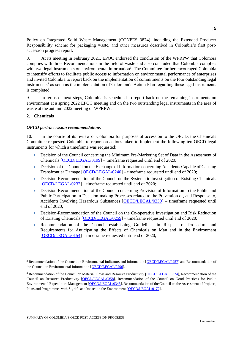Policy on Integrated Solid Waste Management (CONPES 3874), including the Extended Producer Responsibility scheme for packaging waste, and other measures described in Colombia's first postaccession progress report.

8. At its meeting in February 2021, EPOC endorsed the conclusion of the WPRPW that Colombia complies with three Recommendations in the field of waste and also concluded that Colombia complies with two legal instruments on environmental information<sup>3</sup>. The Committee further encouraged Colombia to intensify efforts to facilitate public access to information on environmental performance of enterprises and invited Colombia to report back on the implementation of commitments on the four outstanding legal instruments<sup>4</sup> as soon as the implementation of Colombia's Action Plan regarding these legal instruments is completed.

9. In terms of next steps, Colombia is scheduled to report back on the remaining instruments on environment at a spring 2022 EPOC meeting and on the two outstanding legal instruments in the area of waste at the autumn 2022 meeting of WPRPW.

## **2. Chemicals**

## *OECD post-accession recommendations*

10. In the course of its review of Colombia for purposes of accession to the OECD, the Chemicals Committee requested Colombia to report on actions taken to implement the following ten OECD legal instruments for which a timeframe was requested:

- Decision of the Council concerning the Minimum Pre-Marketing Set of Data in the Assessment of Chemicals [\[OECD/LEGAL/0199\]](https://legalinstruments.oecd.org/en/instruments/OECD-LEGAL-0199) – timeframe requested until end of 2020;
- Decision of the Council on the Exchange of Information concerning Accidents Capable of Causing Transfrontier Damage [\[OECD/LEGAL/0240\]](https://legalinstruments.oecd.org/en/instruments/OECD-LEGAL-0240) – timeframe requested until end of 2020;
- Decision-Recommendation of the Council on the Systematic Investigation of Existing Chemicals [\[OECD/LEGAL/0232\]](https://legalinstruments.oecd.org/en/instruments/OECD-LEGAL-0232) – timeframe requested until end of 2020;
- Decision-Recommendation of the Council concerning Provision of Information to the Public and Public Participation in Decision-making Processes related to the Prevention of, and Response to, Accidents Involving Hazardous Substances [\[OECD/LEGAL/0239\]](https://legalinstruments.oecd.org/en/instruments/OECD-LEGAL-0239) – timeframe requested until end of 2020;
- Decision-Recommendation of the Council on the Co-operative Investigation and Risk Reduction of Existing Chemicals [\[OECD/LEGAL/0259\]](https://legalinstruments.oecd.org/en/instruments/OECD-LEGAL-0259) – timeframe requested until end of 2020;
- Recommendation of the Council establishing Guidelines in Respect of Procedure and Requirements for Anticipating the Effects of Chemicals on Man and in the Environment [\[OECD/LEGAL/0154\]](https://legalinstruments.oecd.org/en/instruments/OECD-LEGAL-0154) – timeframe requested until end of 2020;

<sup>&</sup>lt;sup>3</sup> Recommendation of the Council on Environmental Indicators and Information [\[OECD/LEGAL/0257\]](https://legalinstruments.oecd.org/en/instruments/OECD-LEGAL-0257) and Recommendation of the Council on Environmental Information [\[OECD/LEGAL/0296\]](https://legalinstruments.oecd.org/en/instruments/OECD-LEGAL-0296).

<sup>4</sup> Recommendation of the Council on Material Flows and Resource Productivity [\[OECD/LEGAL/0324\]](https://legalinstruments.oecd.org/en/instruments/OECD-LEGAL-0324), Recommendation of the Council on Resource Productivity [\[OECD/LEGAL/0358\]](https://legalinstruments.oecd.org/en/instruments/OECD-LEGAL-0358), Recommendation of the Council on Good Practices for Public Environmental Expenditure Management [\[OECD/LEGAL/0345\]](https://legalinstruments.oecd.org/en/instruments/OECD-LEGAL-0345), Recommendation of the Council on the Assessment of Projects, Plans and Programmes with Significant Impact on the Environment [\[OECD/LEGAL/0172\]](https://legalinstruments.oecd.org/en/instruments/OECD-LEGAL-0172).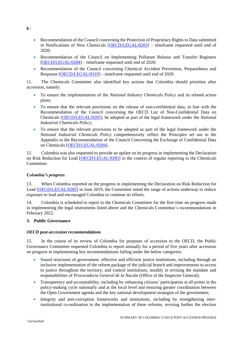- Recommendation of the Council concerning the Protection of Proprietary Rights to Data submitted in Notifications of New Chemicals [\[OECD/LEGAL/0203\]](https://legalinstruments.oecd.org/en/instruments/OECD-LEGAL-0203) – timeframe requested until end of 2020;
- Recommendation of the Council on Implementing Pollutant Release and Transfer Registers [\[OECD/LEGAL/0284\]](https://legalinstruments.oecd.org/en/instruments/OECD-LEGAL-0284) – timeframe requested until end of 2020;
- Recommendation of the Council concerning Chemical Accident Prevention, Preparedness and Response [\[OECD/LEGAL/0319\]](https://legalinstruments.oecd.org/en/instruments/OECD-LEGAL-0319) – timeframe requested until end of 2020.

11. The Chemicals Committee also identified key actions that Colombia should prioritise after accession, namely:

- To ensure the implementation of the *National Industry Chemicals Policy* and its related action plans;
- To ensure that the relevant provisions on the release of non-confidential data, in line with the Recommendation of the Council concerning the OECD List of Non-Confidential Data on Chemicals [\[OECD/LEGAL/0205\]](https://legalinstruments.oecd.org/en/instruments/OECD-LEGAL-0205), be adopted as part of the legal framework under the *National Industrial Chemicals Policy*;
- To ensure that the relevant provisions to be adopted as part of the legal framework under the *National Industrial Chemicals Policy* comprehensively reflect the Principles set out in the Appendix to the Recommendation of the Council Concerning the Exchange of Confidential Data on Chemicals [\[OECD/LEGAL/0204\]](https://legalinstruments.oecd.org/en/instruments/OECD-LEGAL-0204).

12. Colombia was also requested to provide an update on its progress in implementing the Declaration on Risk Reduction for Lead [\[OECD/LEGAL/0285\]](https://legalinstruments.oecd.org/en/instruments/OECD-LEGAL-0285) in the context of regular reporting to the Chemicals Committee.

## *Colombia's progress*

13. When Colombia reported on the progress in implementing the Declaration on Risk Reduction for Lead [\[OECD/LEGAL/0285\]](https://legalinstruments.oecd.org/en/instruments/OECD-LEGAL-0285) in June 2019, the Committee noted the range of actions underway to reduce exposure to lead and encouraged Colombia to continue its efforts.

14. Colombia is scheduled to report to the Chemicals Committee for the first time on progress made in implementing the legal instruments listed above and the Chemicals Committee's recommendations in February 2022.

## **3. Public Governance**

## *OECD post-accession recommendations*

15. In the course of its review of Colombia for purposes of accession to the OECD, the Public Governance Committee requested Colombia to report annually for a period of five years after accession on progress in implementing key recommendations falling under the below categories:

- Sound structures of government: effective and efficient justice institutions, including through an inclusive implementation of the reform package of the judicial branch and improvements to access to justice throughout the territory, and control institutions, notably in revising the mandate and responsibilities of *Procuraduría General de la Nación* (Office of the Inspector General);
- Transparency and accountability, including by enhancing citizens' participation at all points in the policy-making cycle nationally and at the local level and ensuring greater coordination between the Open Government agenda and the key national development strategies of the government;
- Integrity and anti-corruption frameworks and institutions, including by strengthening interinstitutional co-ordination in the implementation of these reforms, revising further the election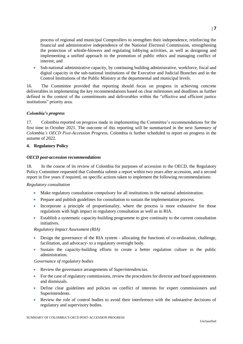process of regional and municipal Comptrollers to strengthen their independence, reinforcing the financial and administrative independence of the National Electoral Commission, strengthening the protection of whistle-blowers and regulating lobbying activities, as well as designing and implementing a unified approach to the promotion of public ethics and managing conflict of interest; and

 Sub-national administrative capacity, by continuing building administrative, workforce, fiscal and digital capacity in the sub-national institutions of the Executive and Judicial Branches and in the Control Institutions of the Public Ministry at the departmental and municipal levels.

16. The Committee provided that reporting should focus on progress in achieving concrete deliverables in implementing the key recommendations based on clear milestones and deadlines as further defined in the context of the commitments and deliverables within the "effective and efficient justice institutions" priority area.

## *Colombia's progress*

17. Colombia reported on progress made in implementing the Committee's recommendations for the first time in October 2021. The outcome of this reporting will be summarised in the next *Summary of Colombia's OECD Post-Accession Progress.* Colombia is further scheduled to report on progress in the autumn of 2022.

## **4. Regulatory Policy**

## *OECD post-accession recommendations*

18. In the course of its review of Colombia for purposes of accession to the OECD, the Regulatory Policy Committee requested that Colombia submit a report within two years after accession, and a second report in five years if required, on specific actions taken to implement the following recommendations:

## *Regulatory consultation*

- Make regulatory consultation compulsory for all institutions in the national administration.
- Prepare and publish guidelines for consultation to sustain the implementation process.
- Incorporate a principle of proportionality, where the process is more exhaustive for those regulations with high impact in regulatory consultation as well as in RIA.
- Establish a systematic capacity-building programme to give continuity to the current consultation initiatives.

#### *Regulatory Impact Assessment (RIA)*

- Design the governance of the RIA system allocating the functions of co-ordination, challenge, facilitation, and advocacy- to a regulatory oversight body.
- Sustain the capacity-building efforts to create a better regulation culture in the public administration.

#### *Governance of regulatory bodies*

- Review the governance arrangements of *Superintendencias*.
- For the case of regulatory commissions, review the procedures for director and board appointments and dismissals.
- Define clear guidelines and policies on conflict of interests for expert commissioners and Superintendents.
- Review the role of control bodies to avoid their interference with the substantive decisions of regulatory and supervisory bodies.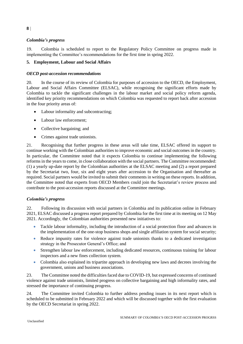# *Colombia's progress*

19. Colombia is scheduled to report to the Regulatory Policy Committee on progress made in implementing the Committee's recommendations for the first time in spring 2022.

## **5. Employment, Labour and Social Affairs**

## *OECD post-accession recommendations*

20. In the course of its review of Colombia for purposes of accession to the OECD, the Employment, Labour and Social Affairs Committee (ELSAC), while recognising the significant efforts made by Colombia to tackle the significant challenges in the labour market and social policy reform agenda, identified key priority recommendations on which Colombia was requested to report back after accession in the four priority areas of:

- Labour informality and subcontracting;
- Labour law enforcement;
- Collective bargaining; and
- Crimes against trade unionists.

21. Recognising that further progress in these areas will take time, ELSAC offered its support to continue working with the Colombian authorities to improve economic and social outcomes in the country. In particular, the Committee noted that it expects Colombia to continue implementing the following reforms in the years to come, in close collaboration with the social partners. The Committee recommended: (1) a yearly up-date report by the Colombian authorities at the ELSAC meeting and (2) a report prepared by the Secretariat two, four, six and eight years after accession to the Organisation and thereafter as required. Social partners would be invited to submit their comments in writing on these reports. In addition, the Committee noted that experts from OECD Members could join the Secretariat's review process and contribute to the post-accession reports discussed at the Committee meetings.

## *Colombia's progress*

22. Following its discussion with social partners in Colombia and its publication online in February 2021, ELSAC discussed a progress report prepared by Colombia for the first time at its meeting on 12 May 2021. Accordingly, the Colombian authorities presented new initiatives to:

- Tackle labour informality, including the introduction of a social protection floor and advances in the implementation of the one-stop business shops and single affiliation system for social security;
- Reduce impunity rates for violence against trade unionists thanks to a dedicated investigation strategy in the Prosecutor General's Office; and
- Strengthen labour law enforcement, including dedicated resources, continuous training for labour inspectors and a new fines collection system.
- Colombia also explained its tripartite approach in developing new laws and decrees involving the government, unions and business associations.

23. The Committee noted the difficulties faced due to COVID-19, but expressed concerns of continued violence against trade unionists, limited progress on collective bargaining and high informality rates, and stressed the importance of continuing progress.

24. The Committee invited Colombia to further address pending issues in its next report which is scheduled to be submitted in February 2022 and which will be discussed together with the first evaluation by the OECD Secretariat in spring 2022.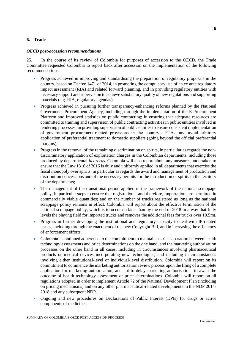## **6. Trade**

## *OECD post-accession recommendations*

25. In the course of its review of Colombia for purposes of accession to the OECD, the Trade Committee requested Colombia to report back after accession on the implementation of the following recommendations:

- Progress achieved in improving and standardising the preparation of regulatory proposals in the country, based on Decree 1471 of 2014, in promoting the compulsory use of an ex ante regulatory impact assessment (RIA) and related forward planning, and in providing regulatory entities with necessary support and supervision to achieve satisfactory quality of new regulations and supporting materials (e.g. RIA, regulatory agendas);
- Progress achieved in pursuing further transparency-enhancing reforms planned by the National Government Procurement Agency, including through the implementation of the E-Procurement Platform and improved statistics on public contracting; in ensuring that adequate resources are committed to training and supervision of public contracting activities in public entities involved in tendering processes; in providing supervision of public entities to ensure consistent implementation of government procurement-related provisions in the country's FTAs, and avoid arbitrary application of preferential treatment to domestic suppliers (going beyond the official preferential margins);
- Progress in the removal of the remaining discrimination on spirits, in particular as regards the nondiscriminatory application of exploitation charges in the Colombian departments, including those produced by departmental *licoreras*. Colombia will also report about any measures undertaken to ensure that the Law 1816 of 2016 is duly and uniformly applied in all departments that exercise the fiscal monopoly over spirits, in particular as regards the award and management of production and distribution concessions and of the necessary permits for the introduction of spirits in the territory of the departments;
- The management of the transitional period applied in the framework of the national scrappage policy, in particular steps to ensure that registration – and therefore, importation, are permitted in commercially viable quantities; and on the number of trucks registered as long as the national scrappage policy remains in effect. Colombia will report about the effective termination of the national scrappage policy, which is to occur no later than by the end of 2018 in a way that fully levels the playing field for imported trucks and removes the additional fees for trucks over 10.5mt.
- Progress in further developing the institutional and regulatory capacity to deal with IP-related issues, including through the enactment of the new Copyright Bill, and in increasing the efficiency of enforcement efforts.
- Colombia's continued adherence to the commitment to maintain a strict separation between health technology assessments and price determinations on the one hand, and the marketing authorisation processes on the other hand in all cases, including in circumstances involving pharmaceutical products or medical devices incorporating new technologies, and including in circumstances involving either institutional-level or individual-level distribution. Colombia will report on its commitment to commence the marketing authorisation review process upon the filing of a complete application for marketing authorisation, and not to delay marketing authorisations to await the outcome of health technology assessment or price determinations. Colombia will report on all regulations adopted in order to implement Article 72 of the National Development Plan (including on pricing mechanisms) and on any other pharmaceutical-related developments in the NDP 2014- 2018 and any subsequent NDP.
- Ongoing and new procedures on Declarations of Public Interest (DPIs) for drugs or active components of medicines.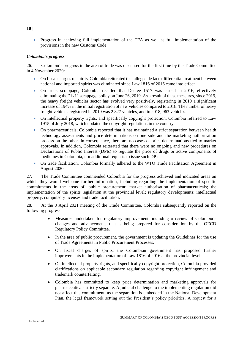Progress in achieving full implementation of the TFA as well as full implementation of the provisions in the new Customs Code.

## *Colombia's progress*

26. Colombia's progress in the area of trade was discussed for the first time by the Trade Committee in 4 November 2020:

- On fiscal charges of spirits, Colombia reiterated that alleged de facto differential treatment between national and imported spirits was eliminated since Law 1816 of 2016 came into effect.
- On truck scrappage, Colombia recalled that Decree 1517 was issued in 2016, effectively eliminating the "1x1" scrappage policy on June 26, 2019. As a result of these measures, since 2019, the heavy freight vehicles sector has evolved very positively, registering in 2019 a significant increase of 194% in the initial registration of new vehicles compared to 2018. The number of heavy freight vehicles registered in 2019 was 2.827 vehicles, and in 2018, 963 vehicles.
- On intellectual property rights, and specifically copyright protection, Colombia referred to Law 1915 of July 2018, which updated the copyright regulations in the country.
- On pharmaceuticals, Colombia reported that it has maintained a strict separation between health technology assessments and price determinations on one side and the marketing authorisation process on the other. In consequence, there are no cases of price determinations tied to market approvals. In addition, Colombia reiterated that there were no ongoing and new procedures on Declarations of Public Interest (DPIs) to regulate the price of drugs or active components of medicines in Colombia, nor additional requests to issue such DPIs.
- On trade facilitation, Colombia formally adhered to the WTO Trade Facilitation Agreement in August 2020.

27. The Trade Committee commended Colombia for the progress achieved and indicated areas on which they would welcome further information, including regarding the implementation of specific commitments in the areas of: public procurement; market authorisation of pharmaceuticals; the implementation of the spirits legislation at the provincial level; regulatory developments; intellectual property, compulsory licenses and trade facilitation.

28. At the 8 April 2021 meeting of the Trade Committee, Colombia subsequently reported on the following progress:

- Measures undertaken for regulatory improvement, including a review of Colombia's changes and advancements that is being prepared for consideration by the OECD Regulatory Policy Committee.
- In the area of public procurement, the government is updating the Guidelines for the use of Trade Agreements in Public Procurement Processes.
- On fiscal charges of spirits, the Colombian government has proposed further improvements in the implementation of Law 1816 of 2016 at the provincial level.
- On intellectual property rights, and specifically copyright protection, Colombia provided clarifications on applicable secondary regulation regarding copyright infringement and trademark counterfeiting.
- Colombia has committed to keep price determination and marketing approvals for pharmaceuticals strictly separate. A judicial challenge to the implementing regulation did not affect this commitment, as the separation is embedded in the National Development Plan, the legal framework setting out the President's policy priorities. A request for a

SUMMARY OF COLOMBIA'S OECD POST-ACCESSION PROGRSS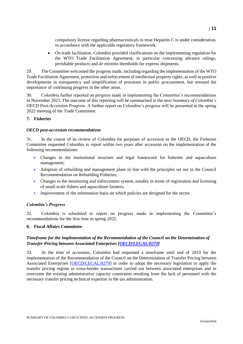compulsory license regarding pharmaceuticals to treat Hepatitis C is under consideration, in accordance with the applicable regulatory framework.

 On trade facilitation, Colombia provided clarifications on the implementing regulation for the WTO Trade Facilitation Agreement, in particular concerning advance rulings, perishable products and *de minimis* thresholds for express shipments.

29. The Committee welcomed the progress made, including regarding the implementation of the WTO Trade Facilitation Agreement, protection and enforcement of intellectual property rights, as well as positive developments in transparency and simplification of processes in public procurement, but stressed the importance of continuing progress in the other areas.

30. Colombia further reported on progress made in implementing the Committee's recommendations in November 2021. The outcome of this reporting will be summarised in the next *Summary of Colombia's OECD Post-Accession Progress.* A further report on Colombia's progress will be presented at the spring 2022 meeting of the Trade Committee.

## **7. Fisheries**

#### *OECD post-accession recommendations*

31. In the course of its review of Colombia for purposes of accession to the OECD, the Fisheries Committee requested Colombia to report within two years after accession on the implementation of the following recommendations:

- Changes to the institutional structure and legal framework for fisheries and aquaculture management;
- Adoption of rebuilding and management plans in line with the principles set out in the Council Recommendation on Rebuilding Fisheries;
- Changes to the monitoring and enforcement system, notably in terms of registration and licensing of small-scale fishers and aquaculture farmers;
- Improvement of the information basis on which policies are designed for the sector.

## *Colombia's Progress*

32. Colombia is scheduled to report on progress made in implementing the Committee's recommendations for the first time in spring 2022.

## **8. Fiscal Affairs Committee**

## *Timeframe for the Implementation of the Recommendation of the Council on the Determination of Transfer Pricing between Associated Enterprises [\[OECD/LEGAL/0279\]](https://legalinstruments.oecd.org/en/instruments/OECD-LEGAL-0279)*

33. At the time of accession, Colombia had requested a timeframe until end of 2019 for the implementation of the Recommendation of the Council on the Determination of Transfer Pricing between Associated Enterprises [\[OECD/LEGAL/0279\]](https://legalinstruments.oecd.org/en/instruments/OECD-LEGAL-0279) in order to adopt the necessary legislation to apply the transfer pricing regime to cross-border transactions carried out between associated enterprises and to overcome the existing administrative capacity constraints resulting from the lack of personnel with the necessary transfer pricing technical expertise in the tax administration.